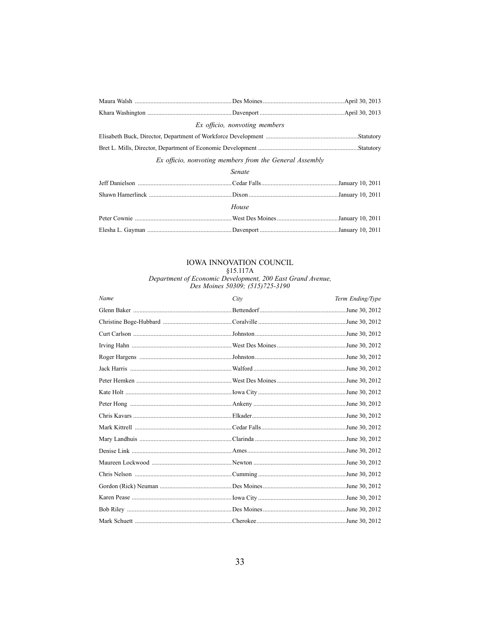| Ex officio, nonvoting members                           |  |  |  |  |
|---------------------------------------------------------|--|--|--|--|
|                                                         |  |  |  |  |
|                                                         |  |  |  |  |
| Ex officio, nonvoting members from the General Assembly |  |  |  |  |
| Senate                                                  |  |  |  |  |
|                                                         |  |  |  |  |
|                                                         |  |  |  |  |
| House                                                   |  |  |  |  |
|                                                         |  |  |  |  |
|                                                         |  |  |  |  |

IOWA INNOVATION COUNCIL<br>§15.117A<br>Department of Economic Development, 200 East Grand Avenue,<br>Des Moines 50309; (515)725-3190

| Name | City | Term Ending/Type |
|------|------|------------------|
|      |      |                  |
|      |      |                  |
|      |      |                  |
|      |      |                  |
|      |      |                  |
|      |      |                  |
|      |      |                  |
|      |      |                  |
|      |      |                  |
|      |      |                  |
|      |      |                  |
|      |      |                  |
|      |      |                  |
|      |      |                  |
|      |      |                  |
|      |      |                  |
|      |      |                  |
|      |      |                  |
|      |      |                  |